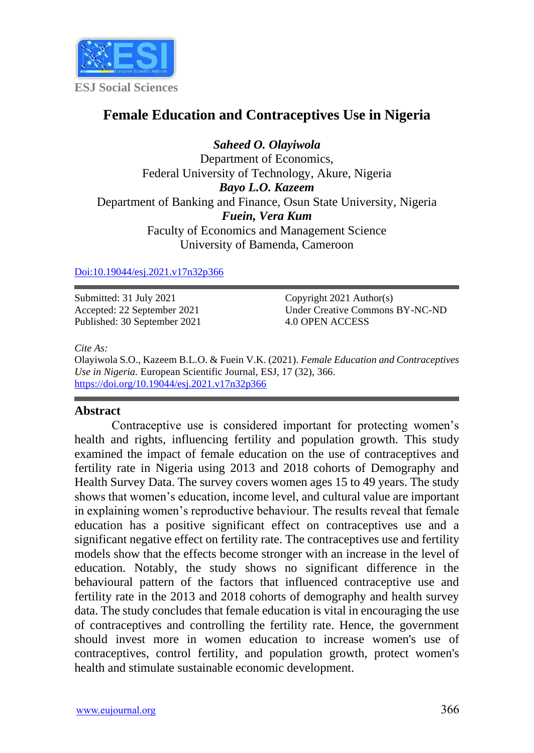

# **Female Education and Contraceptives Use in Nigeria**

*Saheed O. Olayiwola* Department of Economics, Federal University of Technology, Akure, Nigeria *Bayo L.O. Kazeem* Department of Banking and Finance, Osun State University, Nigeria *Fuein, Vera Kum* Faculty of Economics and Management Science University of Bamenda, Cameroon

### [Doi:10.19044/esj.2021.v17n32p366](https://doi.org/10.19044/esj.2021.v17n32p366)

Submitted: 31 July 2021 Accepted: 22 September 2021 Published: 30 September 2021 Copyright 2021 Author(s) Under Creative Commons BY-NC-ND 4.0 OPEN ACCESS

#### *Cite As:*

Olayiwola S.O., Kazeem B.L.O. & Fuein V.K. (2021). *Female Education and Contraceptives Use in Nigeria.* European Scientific Journal, ESJ, 17 (32), 366. <https://doi.org/10.19044/esj.2021.v17n32p366>

### **Abstract**

Contraceptive use is considered important for protecting women's health and rights, influencing fertility and population growth. This study examined the impact of female education on the use of contraceptives and fertility rate in Nigeria using 2013 and 2018 cohorts of Demography and Health Survey Data. The survey covers women ages 15 to 49 years. The study shows that women's education, income level, and cultural value are important in explaining women's reproductive behaviour. The results reveal that female education has a positive significant effect on contraceptives use and a significant negative effect on fertility rate. The contraceptives use and fertility models show that the effects become stronger with an increase in the level of education. Notably, the study shows no significant difference in the behavioural pattern of the factors that influenced contraceptive use and fertility rate in the 2013 and 2018 cohorts of demography and health survey data. The study concludes that female education is vital in encouraging the use of contraceptives and controlling the fertility rate. Hence, the government should invest more in women education to increase women's use of contraceptives, control fertility, and population growth, protect women's health and stimulate sustainable economic development.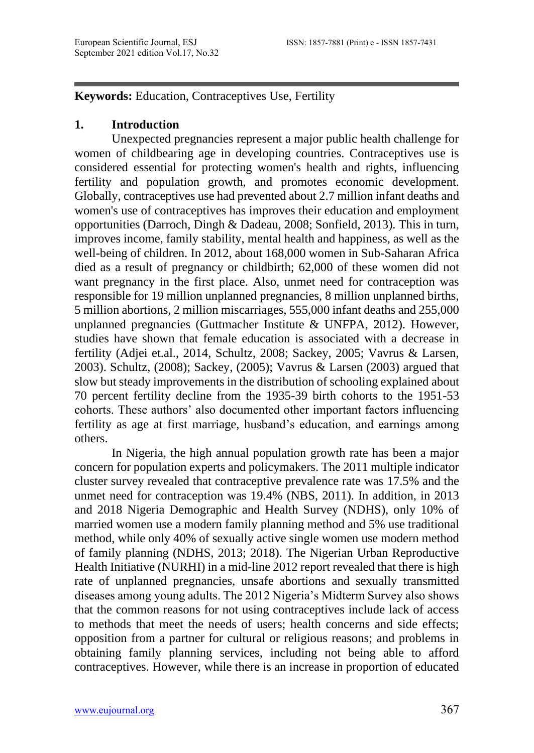**Keywords:** Education, Contraceptives Use, Fertility

## **1. Introduction**

Unexpected pregnancies represent a major public health challenge for women of childbearing age in developing countries. Contraceptives use is considered essential for protecting women's health and rights, influencing fertility and population growth, and promotes economic development. Globally, contraceptives use had prevented about 2.7 million infant deaths and women's use of contraceptives has improves their education and employment opportunities (Darroch, Dingh & Dadeau, 2008; Sonfield, 2013). This in turn, improves income, family stability, mental health and happiness, as well as the well-being of children. In 2012, about 168,000 women in Sub-Saharan Africa died as a result of pregnancy or childbirth; 62,000 of these women did not want pregnancy in the first place. Also, unmet need for contraception was responsible for 19 million unplanned pregnancies, 8 million unplanned births, 5 million abortions, 2 million miscarriages, 555,000 infant deaths and 255,000 unplanned pregnancies (Guttmacher Institute & UNFPA, 2012). However, studies have shown that female education is associated with a decrease in fertility (Adjei et.al., 2014, Schultz, 2008; Sackey, 2005; Vavrus & Larsen, 2003). Schultz, (2008); Sackey, (2005); Vavrus & Larsen (2003) argued that slow but steady improvements in the distribution of schooling explained about 70 percent fertility decline from the 1935-39 birth cohorts to the 1951-53 cohorts. These authors' also documented other important factors influencing fertility as age at first marriage, husband's education, and earnings among others.

In Nigeria, the high annual population growth rate has been a major concern for population experts and policymakers. The 2011 multiple indicator cluster survey revealed that contraceptive prevalence rate was 17.5% and the unmet need for contraception was 19.4% (NBS, 2011). In addition, in 2013 and 2018 Nigeria Demographic and Health Survey (NDHS), only 10% of married women use a modern family planning method and 5% use traditional method, while only 40% of sexually active single women use modern method of family planning (NDHS, 2013; 2018). The Nigerian Urban Reproductive Health Initiative (NURHI) in a mid-line 2012 report revealed that there is high rate of unplanned pregnancies, unsafe abortions and sexually transmitted diseases among young adults. The 2012 Nigeria's Midterm Survey also shows that the common reasons for not using contraceptives include lack of access to methods that meet the needs of users; health concerns and side effects; opposition from a partner for cultural or religious reasons; and problems in obtaining family planning services, including not being able to afford contraceptives. However, while there is an increase in proportion of educated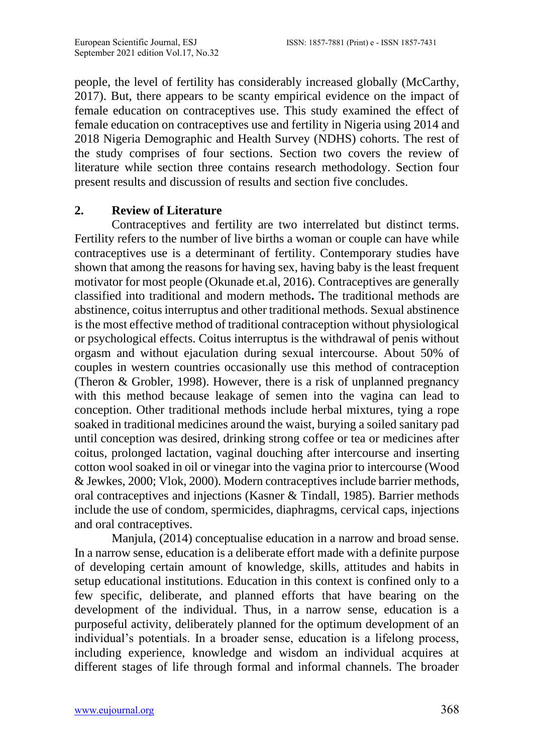people, the level of fertility has considerably increased globally (McCarthy, 2017). But, there appears to be scanty empirical evidence on the impact of female education on contraceptives use. This study examined the effect of female education on contraceptives use and fertility in Nigeria using 2014 and 2018 Nigeria Demographic and Health Survey (NDHS) cohorts. The rest of the study comprises of four sections. Section two covers the review of literature while section three contains research methodology. Section four present results and discussion of results and section five concludes.

### **2. Review of Literature**

Contraceptives and fertility are two interrelated but distinct terms. Fertility refers to the number of live births a woman or couple can have while contraceptives use is a determinant of fertility. Contemporary studies have shown that among the reasons for having sex, having baby is the least frequent motivator for most people (Okunade et.al, 2016). Contraceptives are generally classified into traditional and modern methods**.** The traditional methods are abstinence, coitus interruptus and other traditional methods. Sexual abstinence is the most effective method of traditional contraception without physiological or psychological effects. Coitus interruptus is the withdrawal of penis without orgasm and without ejaculation during sexual intercourse. About 50% of couples in western countries occasionally use this method of contraception (Theron & Grobler, 1998). However, there is a risk of unplanned pregnancy with this method because leakage of semen into the vagina can lead to conception. Other traditional methods include herbal mixtures, tying a rope soaked in traditional medicines around the waist, burying a soiled sanitary pad until conception was desired, drinking strong coffee or tea or medicines after coitus, prolonged lactation, vaginal douching after intercourse and inserting cotton wool soaked in oil or vinegar into the vagina prior to intercourse (Wood & Jewkes, 2000; Vlok, 2000). Modern contraceptives include barrier methods, oral contraceptives and injections (Kasner & Tindall, 1985). Barrier methods include the use of condom, spermicides, diaphragms, cervical caps, injections and oral contraceptives.

Manjula, (2014) conceptualise education in a narrow and broad sense. In a narrow sense, education is a deliberate effort made with a definite purpose of developing certain amount of knowledge, skills, attitudes and habits in setup educational institutions. Education in this context is confined only to a few specific, deliberate, and planned efforts that have bearing on the development of the individual. Thus, in a narrow sense, education is a purposeful activity, deliberately planned for the optimum development of an individual's potentials. In a broader sense, education is a lifelong process, including experience, knowledge and wisdom an individual acquires at different stages of life through formal and informal channels. The broader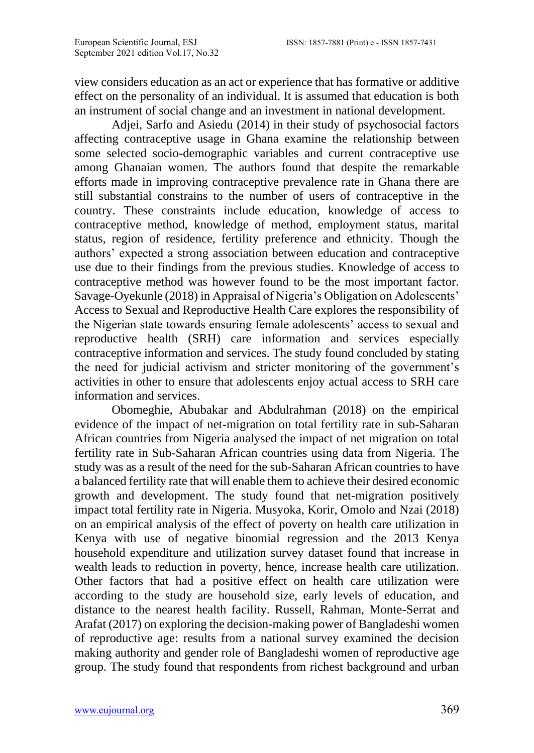view considers education as an act or experience that has formative or additive effect on the personality of an individual. It is assumed that education is both an instrument of social change and an investment in national development.

Adjei, Sarfo and Asiedu (2014) in their study of psychosocial factors affecting contraceptive usage in Ghana examine the relationship between some selected socio-demographic variables and current contraceptive use among Ghanaian women. The authors found that despite the remarkable efforts made in improving contraceptive prevalence rate in Ghana there are still substantial constrains to the number of users of contraceptive in the country. These constraints include education, knowledge of access to contraceptive method, knowledge of method, employment status, marital status, region of residence, fertility preference and ethnicity. Though the authors' expected a strong association between education and contraceptive use due to their findings from the previous studies. Knowledge of access to contraceptive method was however found to be the most important factor. Savage-Oyekunle (2018) in Appraisal of Nigeria's Obligation on Adolescents' Access to Sexual and Reproductive Health Care explores the responsibility of the Nigerian state towards ensuring female adolescents' access to sexual and reproductive health (SRH) care information and services especially contraceptive information and services. The study found concluded by stating the need for judicial activism and stricter monitoring of the government's activities in other to ensure that adolescents enjoy actual access to SRH care information and services.

Obomeghie, Abubakar and Abdulrahman (2018) on the empirical evidence of the impact of net-migration on total fertility rate in sub-Saharan African countries from Nigeria analysed the impact of net migration on total fertility rate in Sub-Saharan African countries using data from Nigeria. The study was as a result of the need for the sub-Saharan African countries to have a balanced fertility rate that will enable them to achieve their desired economic growth and development. The study found that net-migration positively impact total fertility rate in Nigeria. Musyoka, Korir, Omolo and Nzai (2018) on an empirical analysis of the effect of poverty on health care utilization in Kenya with use of negative binomial regression and the 2013 Kenya household expenditure and utilization survey dataset found that increase in wealth leads to reduction in poverty, hence, increase health care utilization. Other factors that had a positive effect on health care utilization were according to the study are household size, early levels of education, and distance to the nearest health facility. Russell, Rahman, Monte-Serrat and Arafat (2017) on exploring the decision-making power of Bangladeshi women of reproductive age: results from a national survey examined the decision making authority and gender role of Bangladeshi women of reproductive age group. The study found that respondents from richest background and urban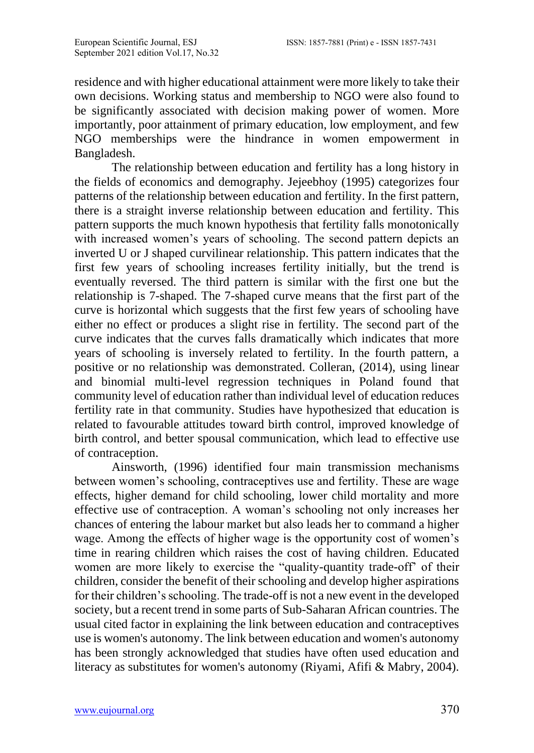residence and with higher educational attainment were more likely to take their own decisions. Working status and membership to NGO were also found to be significantly associated with decision making power of women. More importantly, poor attainment of primary education, low employment, and few NGO memberships were the hindrance in women empowerment in Bangladesh.

The relationship between education and fertility has a long history in the fields of economics and demography. Jejeebhoy (1995) categorizes four patterns of the relationship between education and fertility. In the first pattern, there is a straight inverse relationship between education and fertility. This pattern supports the much known hypothesis that fertility falls monotonically with increased women's years of schooling. The second pattern depicts an inverted U or J shaped curvilinear relationship. This pattern indicates that the first few years of schooling increases fertility initially, but the trend is eventually reversed. The third pattern is similar with the first one but the relationship is 7-shaped. The 7-shaped curve means that the first part of the curve is horizontal which suggests that the first few years of schooling have either no effect or produces a slight rise in fertility. The second part of the curve indicates that the curves falls dramatically which indicates that more years of schooling is inversely related to fertility. In the fourth pattern, a positive or no relationship was demonstrated. Colleran, (2014), using linear and binomial multi-level regression techniques in Poland found that community level of education rather than individual level of education reduces fertility rate in that community. Studies have hypothesized that education is related to favourable attitudes toward birth control, improved knowledge of birth control, and better spousal communication, which lead to effective use of contraception.

Ainsworth, (1996) identified four main transmission mechanisms between women's schooling, contraceptives use and fertility. These are wage effects, higher demand for child schooling, lower child mortality and more effective use of contraception. A woman's schooling not only increases her chances of entering the labour market but also leads her to command a higher wage. Among the effects of higher wage is the opportunity cost of women's time in rearing children which raises the cost of having children. Educated women are more likely to exercise the "quality-quantity trade-off' of their children, consider the benefit of their schooling and develop higher aspirations for their children's schooling. The trade-off is not a new event in the developed society, but a recent trend in some parts of Sub-Saharan African countries. The usual cited factor in explaining the link between education and contraceptives use is women's autonomy. The link between education and women's autonomy has been strongly acknowledged that studies have often used education and literacy as substitutes for women's autonomy (Riyami, Afifi & Mabry, 2004).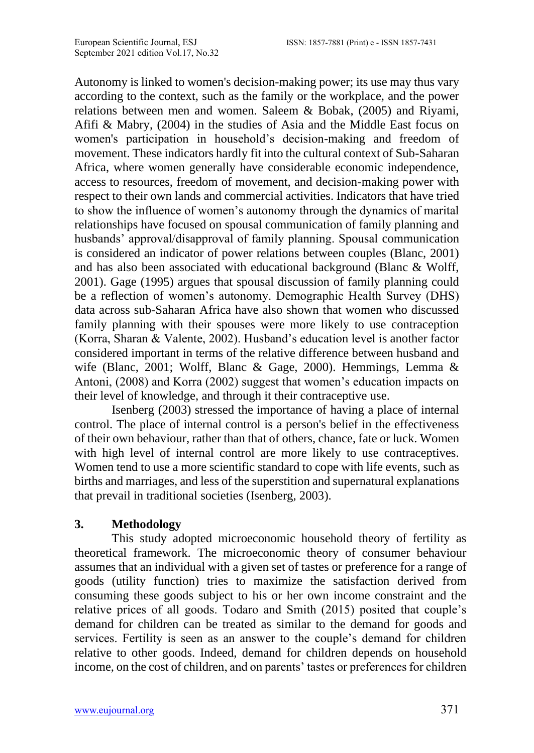Autonomy is linked to women's decision-making power; its use may thus vary according to the context, such as the family or the workplace, and the power relations between men and women. Saleem & Bobak, (2005) and Riyami, Afifi & Mabry, (2004) in the studies of Asia and the Middle East focus on women's participation in household's decision-making and freedom of movement. These indicators hardly fit into the cultural context of Sub-Saharan Africa, where women generally have considerable economic independence, access to resources, freedom of movement, and decision-making power with respect to their own lands and commercial activities. Indicators that have tried to show the influence of women's autonomy through the dynamics of marital relationships have focused on spousal communication of family planning and husbands' approval/disapproval of family planning. Spousal communication is considered an indicator of power relations between couples (Blanc, 2001) and has also been associated with educational background (Blanc & Wolff, 2001). Gage (1995) argues that spousal discussion of family planning could be a reflection of women's autonomy. Demographic Health Survey (DHS) data across sub-Saharan Africa have also shown that women who discussed family planning with their spouses were more likely to use contraception (Korra, Sharan & Valente, 2002). Husband's education level is another factor considered important in terms of the relative difference between husband and wife (Blanc, 2001; Wolff, Blanc & Gage, 2000). Hemmings, Lemma & Antoni, (2008) and Korra (2002) suggest that women's education impacts on their level of knowledge, and through it their contraceptive use.

Isenberg (2003) stressed the importance of having a place of internal control. The place of internal control is a person's belief in the effectiveness of their own behaviour, rather than that of others, chance, fate or luck. Women with high level of internal control are more likely to use contraceptives. Women tend to use a more scientific standard to cope with life events, such as births and marriages, and less of the superstition and supernatural explanations that prevail in traditional societies (Isenberg, 2003).

# **3. Methodology**

This study adopted microeconomic household theory of fertility as theoretical framework. The microeconomic theory of consumer behaviour assumes that an individual with a given set of tastes or preference for a range of goods (utility function) tries to maximize the satisfaction derived from consuming these goods subject to his or her own income constraint and the relative prices of all goods. Todaro and Smith (2015) posited that couple's demand for children can be treated as similar to the demand for goods and services. Fertility is seen as an answer to the couple's demand for children relative to other goods. Indeed, demand for children depends on household income, on the cost of children, and on parents' tastes or preferences for children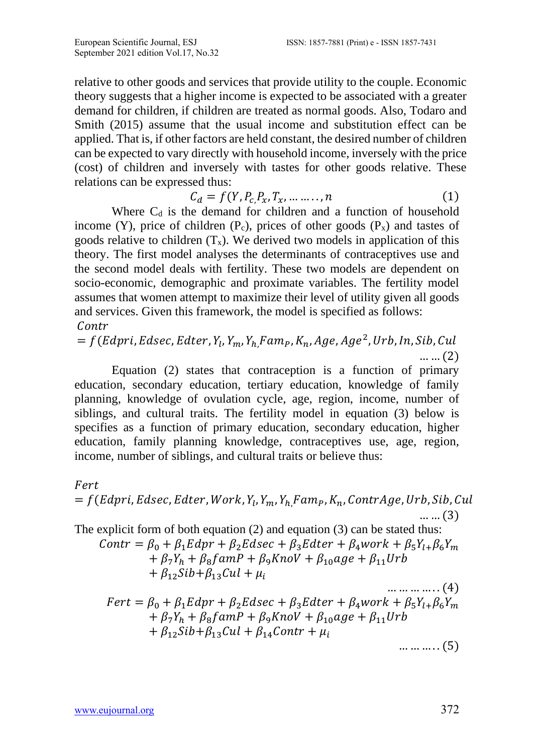relative to other goods and services that provide utility to the couple. Economic theory suggests that a higher income is expected to be associated with a greater demand for children, if children are treated as normal goods. Also, Todaro and Smith (2015) assume that the usual income and substitution effect can be applied. That is, if other factors are held constant, the desired number of children can be expected to vary directly with household income, inversely with the price (cost) of children and inversely with tastes for other goods relative. These relations can be expressed thus:

$$
C_d = f(Y, P_c, P_x, T_x, \dots, n)
$$
 (1)

Where  $C_d$  is the demand for children and a function of household income (Y), price of children ( $P_c$ ), prices of other goods ( $P_x$ ) and tastes of goods relative to children  $(T_x)$ . We derived two models in application of this theory. The first model analyses the determinants of contraceptives use and the second model deals with fertility. These two models are dependent on socio-economic, demographic and proximate variables. The fertility model assumes that women attempt to maximize their level of utility given all goods and services. Given this framework, the model is specified as follows: Contr

 $= f(Edpri, Edsec, Edter, Y_l, Y_m, Y_{h_i}Fam_P, K_n, Age, Age^2, Urb, In, Sib, Cul$ … … (2)

Equation (2) states that contraception is a function of primary education, secondary education, tertiary education, knowledge of family planning, knowledge of ovulation cycle, age, region, income, number of siblings, and cultural traits. The fertility model in equation (3) below is specifies as a function of primary education, secondary education, higher education, family planning knowledge, contraceptives use, age, region, income, number of siblings, and cultural traits or believe thus:

#### Fert

$$
= f(Edpri, Edsec, Edter, Work, Y1, Ym, Yh, FamP, Kn, ContrAge, Urb, Sib, Cul.... (3)
$$

The explicit form of both equation (2) and equation (3) can be stated thus:  $Contr = \beta_0 + \beta_1 Edpr + \beta_2 Edsec + \beta_3 Edter + \beta_4 work + \beta_5 Y_{l+} \beta_6 Y_m$  $+\beta_7Y_h + \beta_8famP + \beta_9KnoV + \beta_{10}age + \beta_{11}Urb$  $+ \beta_{12}Sib+\beta_{13}Cul + \mu_i$ … … … … . . (4)  $Fert = \beta_0 + \beta_1 Edpr + \beta_2 Edsec + \beta_3 Edter + \beta_4 work + \beta_5 Y_{l+} \beta_6 Y_m$  $+ \beta_7 Y_h + \beta_8 f \alpha mP + \beta_9 K n oV + \beta_{10} age + \beta_{11} Urb$  $+ \beta_{12}Sib+\beta_{13}Cul + \beta_{14}Contr + \mu_i$  $\dots \dots \dots (5)$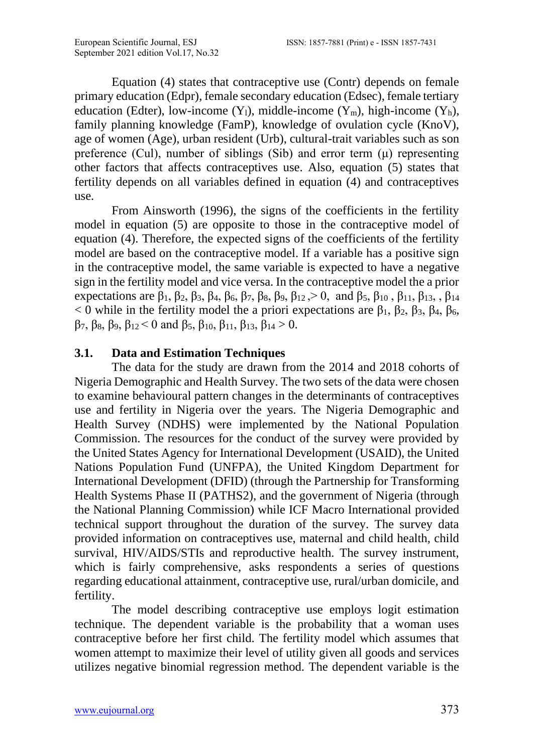Equation (4) states that contraceptive use (Contr) depends on female primary education (Edpr), female secondary education (Edsec), female tertiary education (Edter), low-income  $(Y_1)$ , middle-income  $(Y_m)$ , high-income  $(Y_h)$ , family planning knowledge (FamP), knowledge of ovulation cycle (KnoV), age of women (Age), urban resident (Urb), cultural-trait variables such as son preference (Cul), number of siblings (Sib) and error term  $(\mu)$  representing other factors that affects contraceptives use. Also, equation (5) states that fertility depends on all variables defined in equation (4) and contraceptives use.

From Ainsworth (1996), the signs of the coefficients in the fertility model in equation (5) are opposite to those in the contraceptive model of equation (4). Therefore, the expected signs of the coefficients of the fertility model are based on the contraceptive model. If a variable has a positive sign in the contraceptive model, the same variable is expected to have a negative sign in the fertility model and vice versa. In the contraceptive model the a prior expectations are  $\beta_1$ ,  $\beta_2$ ,  $\beta_3$ ,  $\beta_4$ ,  $\beta_6$ ,  $\beta_7$ ,  $\beta_8$ ,  $\beta_9$ ,  $\beta_{12}$ ,  $\geq 0$ , and  $\beta_5$ ,  $\beta_{10}$ ,  $\beta_{11}$ ,  $\beta_{13}$ ,  $\beta_{14}$  $<$  0 while in the fertility model the a priori expectations are β<sub>1</sub>, β<sub>2</sub>, β<sub>3</sub>, β<sub>4</sub>, β<sub>6</sub>, β7, β8, β9, β12 < 0 and β5, β10, β11, β13, β<sup>14</sup> > 0.

### **3.1. Data and Estimation Techniques**

The data for the study are drawn from the 2014 and 2018 cohorts of Nigeria Demographic and Health Survey. The two sets of the data were chosen to examine behavioural pattern changes in the determinants of contraceptives use and fertility in Nigeria over the years. The Nigeria Demographic and Health Survey (NDHS) were implemented by the National Population Commission. The resources for the conduct of the survey were provided by the United States Agency for International Development (USAID), the United Nations Population Fund (UNFPA), the United Kingdom Department for International Development (DFID) (through the Partnership for Transforming Health Systems Phase II (PATHS2), and the government of Nigeria (through the National Planning Commission) while ICF Macro International provided technical support throughout the duration of the survey. The survey data provided information on contraceptives use, maternal and child health, child survival, HIV/AIDS/STIs and reproductive health. The survey instrument, which is fairly comprehensive, asks respondents a series of questions regarding educational attainment, contraceptive use, rural/urban domicile, and fertility.

The model describing contraceptive use employs logit estimation technique. The dependent variable is the probability that a woman uses contraceptive before her first child. The fertility model which assumes that women attempt to maximize their level of utility given all goods and services utilizes negative binomial regression method. The dependent variable is the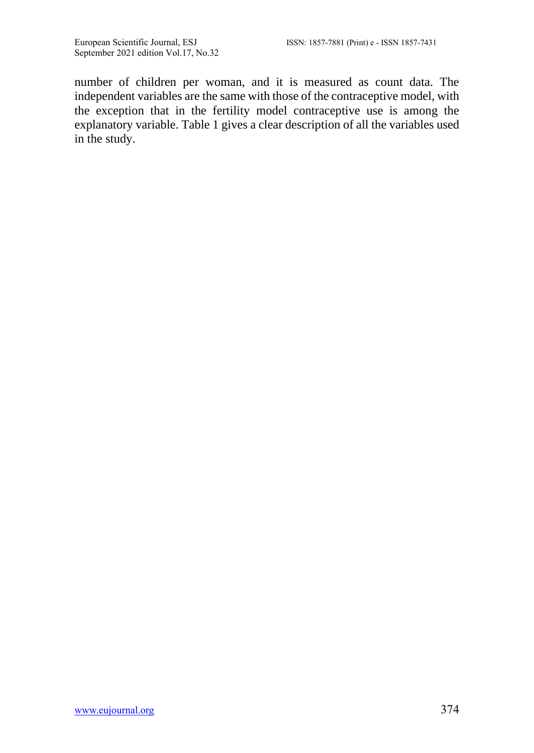number of children per woman, and it is measured as count data. The independent variables are the same with those of the contraceptive model, with the exception that in the fertility model contraceptive use is among the explanatory variable. Table 1 gives a clear description of all the variables used in the study.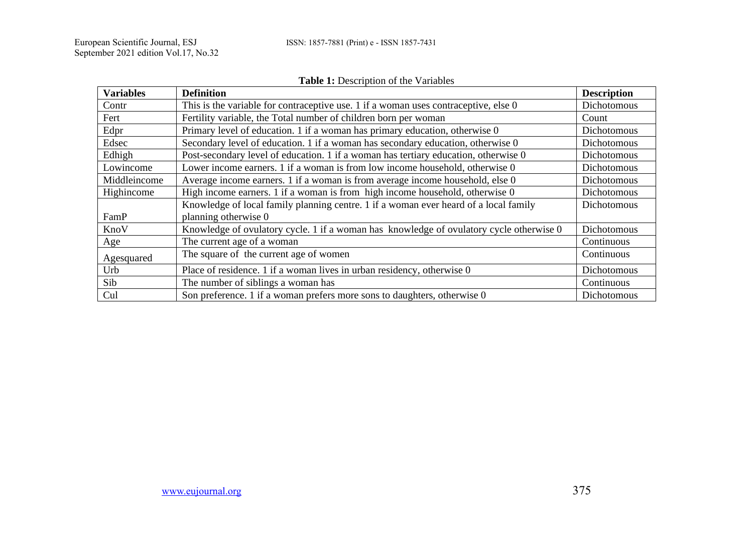|                  | <b>rapic 1.</b> Description of the variables                                            |                    |
|------------------|-----------------------------------------------------------------------------------------|--------------------|
| <b>Variables</b> | <b>Definition</b>                                                                       | <b>Description</b> |
| Contr            | This is the variable for contraceptive use. 1 if a woman uses contraceptive, else 0     | Dichotomous        |
| Fert             | Fertility variable, the Total number of children born per woman                         | Count              |
| Edpr             | Primary level of education. 1 if a woman has primary education, otherwise 0             | Dichotomous        |
| Edsec            | Secondary level of education. 1 if a woman has secondary education, otherwise 0         | Dichotomous        |
| Edhigh           | Post-secondary level of education. 1 if a woman has tertiary education, otherwise 0     | Dichotomous        |
| Lowincome        | Lower income earners. 1 if a woman is from low income household, otherwise 0            | Dichotomous        |
| Middleincome     | Average income earners. 1 if a woman is from average income household, else 0           | Dichotomous        |
| Highincome       | High income earners. 1 if a woman is from high income household, otherwise 0            | Dichotomous        |
|                  | Knowledge of local family planning centre. 1 if a woman ever heard of a local family    | Dichotomous        |
| FamP             | planning otherwise 0                                                                    |                    |
| KnoV             | Knowledge of ovulatory cycle. 1 if a woman has knowledge of ovulatory cycle otherwise 0 | Dichotomous        |
| Age              | The current age of a woman                                                              | Continuous         |
| Agesquared       | The square of the current age of women                                                  | Continuous         |
| Urb              | Place of residence. 1 if a woman lives in urban residency, otherwise 0                  | Dichotomous        |
| Sib              | The number of siblings a woman has                                                      | Continuous         |
| Cul              | Son preference. 1 if a woman prefers more sons to daughters, otherwise 0                | Dichotomous        |

#### **Table 1:** Description of the Variables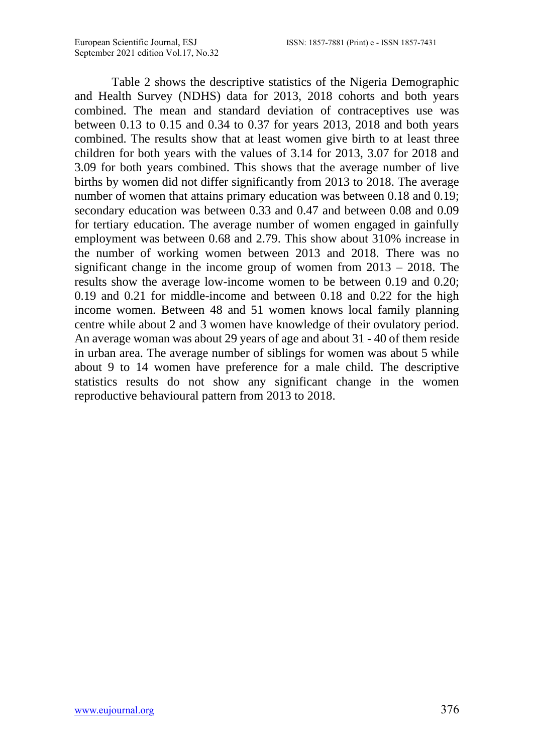Table 2 shows the descriptive statistics of the Nigeria Demographic and Health Survey (NDHS) data for 2013, 2018 cohorts and both years combined. The mean and standard deviation of contraceptives use was between 0.13 to 0.15 and 0.34 to 0.37 for years 2013, 2018 and both years combined. The results show that at least women give birth to at least three children for both years with the values of 3.14 for 2013, 3.07 for 2018 and 3.09 for both years combined. This shows that the average number of live births by women did not differ significantly from 2013 to 2018. The average number of women that attains primary education was between 0.18 and 0.19; secondary education was between 0.33 and 0.47 and between 0.08 and 0.09 for tertiary education. The average number of women engaged in gainfully employment was between 0.68 and 2.79. This show about 310% increase in the number of working women between 2013 and 2018. There was no significant change in the income group of women from 2013 – 2018. The results show the average low-income women to be between 0.19 and 0.20; 0.19 and 0.21 for middle-income and between 0.18 and 0.22 for the high income women. Between 48 and 51 women knows local family planning centre while about 2 and 3 women have knowledge of their ovulatory period. An average woman was about 29 years of age and about 31 - 40 of them reside in urban area. The average number of siblings for women was about 5 while about 9 to 14 women have preference for a male child. The descriptive statistics results do not show any significant change in the women reproductive behavioural pattern from 2013 to 2018.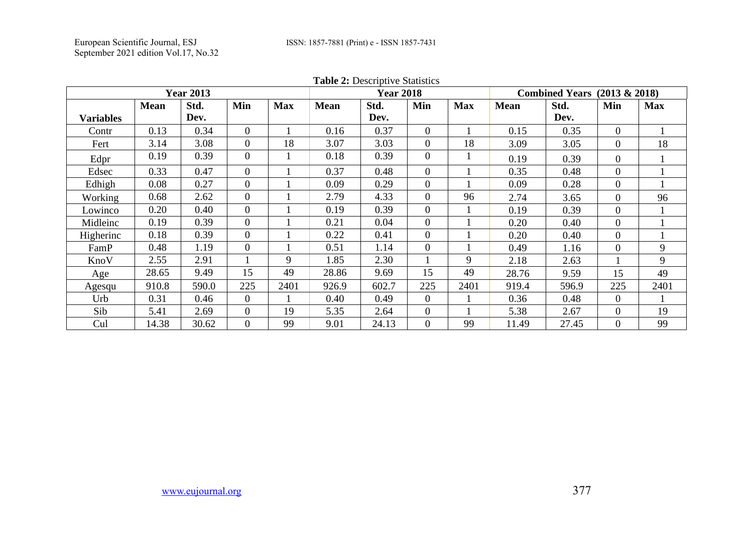| <b>Table 2:</b> Descriptive Statistics<br><b>Year 2013</b><br><b>Year 2018</b><br>Combined Years $(2013 \& 2018)$ |             |       |                |            |             |       |                  |            |             |       |                |            |
|-------------------------------------------------------------------------------------------------------------------|-------------|-------|----------------|------------|-------------|-------|------------------|------------|-------------|-------|----------------|------------|
|                                                                                                                   |             |       |                |            |             |       |                  |            |             |       |                |            |
|                                                                                                                   | <b>Mean</b> | Std.  | Min            | <b>Max</b> | <b>Mean</b> | Std.  | Min              | <b>Max</b> | <b>Mean</b> | Std.  | Min            | <b>Max</b> |
| <b>Variables</b>                                                                                                  |             | Dev.  |                |            |             | Dev.  |                  |            |             | Dev.  |                |            |
| Contr                                                                                                             | 0.13        | 0.34  | $\Omega$       |            | 0.16        | 0.37  | $\Omega$         |            | 0.15        | 0.35  | $\Omega$       |            |
| Fert                                                                                                              | 3.14        | 3.08  | $\Omega$       | 18         | 3.07        | 3.03  | $\Omega$         | 18         | 3.09        | 3.05  | $\Omega$       | 18         |
| Edpr                                                                                                              | 0.19        | 0.39  | $\Omega$       |            | 0.18        | 0.39  | $\Omega$         |            | 0.19        | 0.39  | $\mathbf{0}$   |            |
| Edsec                                                                                                             | 0.33        | 0.47  | $\Omega$       |            | 0.37        | 0.48  | $\Omega$         |            | 0.35        | 0.48  | $\mathbf{0}$   |            |
| Edhigh                                                                                                            | 0.08        | 0.27  | $\Omega$       |            | 0.09        | 0.29  | $\boldsymbol{0}$ |            | 0.09        | 0.28  | $\mathbf{0}$   |            |
| Working                                                                                                           | 0.68        | 2.62  | $\Omega$       |            | 2.79        | 4.33  | $\Omega$         | 96         | 2.74        | 3.65  | $\Omega$       | 96         |
| Lowinco                                                                                                           | 0.20        | 0.40  | $\Omega$       |            | 0.19        | 0.39  | $\Omega$         |            | 0.19        | 0.39  | $\mathbf{0}$   |            |
| Midleinc                                                                                                          | 0.19        | 0.39  | $\Omega$       |            | 0.21        | 0.04  | $\Omega$         |            | 0.20        | 0.40  | $\Omega$       |            |
| Higherinc                                                                                                         | 0.18        | 0.39  | $\Omega$       |            | 0.22        | 0.41  | $\Omega$         |            | 0.20        | 0.40  | $\Omega$       |            |
| FamP                                                                                                              | 0.48        | 1.19  | $\theta$       |            | 0.51        | 1.14  | $\Omega$         |            | 0.49        | 1.16  | $\Omega$       | 9          |
| KnoV                                                                                                              | 2.55        | 2.91  |                | 9          | 1.85        | 2.30  |                  | 9          | 2.18        | 2.63  |                | 9          |
| Age                                                                                                               | 28.65       | 9.49  | 15             | 49         | 28.86       | 9.69  | 15               | 49         | 28.76       | 9.59  | 15             | 49         |
| Agesqu                                                                                                            | 910.8       | 590.0 | 225            | 2401       | 926.9       | 602.7 | 225              | 2401       | 919.4       | 596.9 | 225            | 2401       |
| Urb                                                                                                               | 0.31        | 0.46  | $\theta$       |            | 0.40        | 0.49  | $\Omega$         |            | 0.36        | 0.48  | $\theta$       |            |
| Sib                                                                                                               | 5.41        | 2.69  | $\overline{0}$ | 19         | 5.35        | 2.64  | $\overline{0}$   |            | 5.38        | 2.67  | $\overline{0}$ | 19         |
| Cul                                                                                                               | 14.38       | 30.62 | $\Omega$       | 99         | 9.01        | 24.13 | $\Omega$         | 99         | 11.49       | 27.45 | $\Omega$       | 99         |

**Table 2: Descriptive Statistic**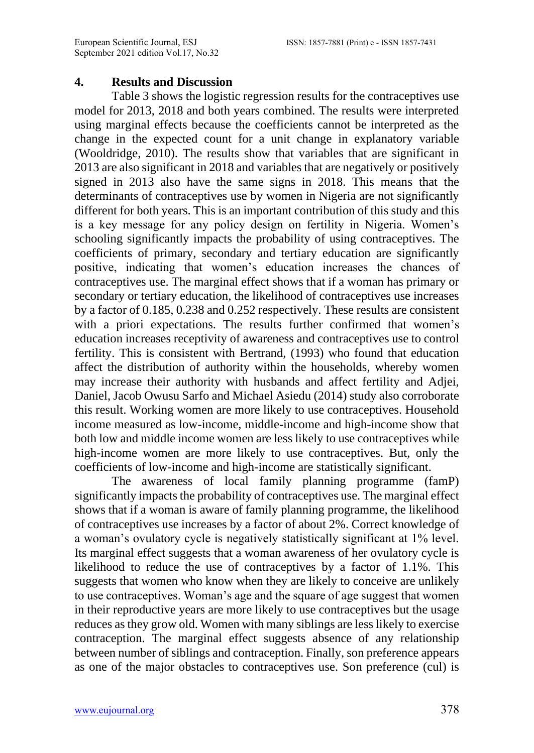#### **4. Results and Discussion**

Table 3 shows the logistic regression results for the contraceptives use model for 2013, 2018 and both years combined. The results were interpreted using marginal effects because the coefficients cannot be interpreted as the change in the expected count for a unit change in explanatory variable (Wooldridge, 2010). The results show that variables that are significant in 2013 are also significant in 2018 and variables that are negatively or positively signed in 2013 also have the same signs in 2018. This means that the determinants of contraceptives use by women in Nigeria are not significantly different for both years. This is an important contribution of this study and this is a key message for any policy design on fertility in Nigeria. Women's schooling significantly impacts the probability of using contraceptives. The coefficients of primary, secondary and tertiary education are significantly positive, indicating that women's education increases the chances of contraceptives use. The marginal effect shows that if a woman has primary or secondary or tertiary education, the likelihood of contraceptives use increases by a factor of 0.185, 0.238 and 0.252 respectively. These results are consistent with a priori expectations. The results further confirmed that women's education increases receptivity of awareness and contraceptives use to control fertility. This is consistent with Bertrand, (1993) who found that education affect the distribution of authority within the households, whereby women may increase their authority with husbands and affect fertility and Adjei, Daniel, Jacob Owusu Sarfo and Michael Asiedu (2014) study also corroborate this result. Working women are more likely to use contraceptives. Household income measured as low-income, middle-income and high-income show that both low and middle income women are less likely to use contraceptives while high-income women are more likely to use contraceptives. But, only the coefficients of low-income and high-income are statistically significant.

The awareness of local family planning programme (famP) significantly impacts the probability of contraceptives use. The marginal effect shows that if a woman is aware of family planning programme, the likelihood of contraceptives use increases by a factor of about 2%. Correct knowledge of a woman's ovulatory cycle is negatively statistically significant at 1% level. Its marginal effect suggests that a woman awareness of her ovulatory cycle is likelihood to reduce the use of contraceptives by a factor of 1.1%. This suggests that women who know when they are likely to conceive are unlikely to use contraceptives. Woman's age and the square of age suggest that women in their reproductive years are more likely to use contraceptives but the usage reduces as they grow old. Women with many siblings are less likely to exercise contraception. The marginal effect suggests absence of any relationship between number of siblings and contraception. Finally, son preference appears as one of the major obstacles to contraceptives use. Son preference (cul) is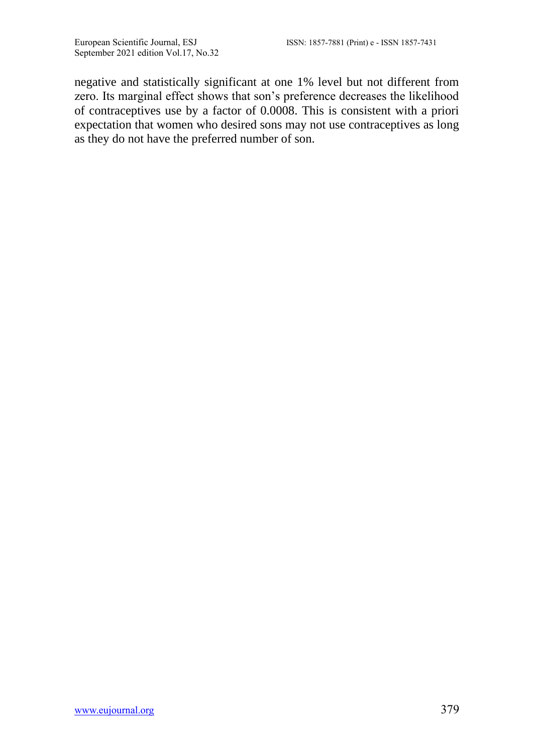negative and statistically significant at one 1% level but not different from zero. Its marginal effect shows that son's preference decreases the likelihood of contraceptives use by a factor of 0.0008. This is consistent with a priori expectation that women who desired sons may not use contraceptives as long as they do not have the preferred number of son.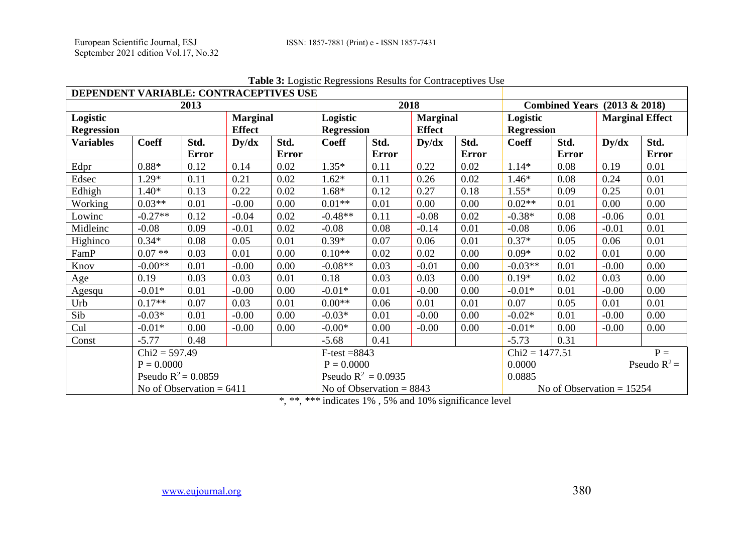| DEPENDENT VARIABLE: CONTRACEPTIVES USE                            |                       |                            |             |                               |                                           |                                  |             |                               |                             |                        |         |               |
|-------------------------------------------------------------------|-----------------------|----------------------------|-------------|-------------------------------|-------------------------------------------|----------------------------------|-------------|-------------------------------|-----------------------------|------------------------|---------|---------------|
|                                                                   | 2018                  |                            |             |                               | <b>Combined Years</b><br>$(2013 \& 2018)$ |                                  |             |                               |                             |                        |         |               |
| Logistic<br><b>Marginal</b><br><b>Effect</b><br><b>Regression</b> |                       |                            |             | Logistic<br><b>Regression</b> |                                           | <b>Marginal</b><br><b>Effect</b> |             | Logistic<br><b>Regression</b> |                             | <b>Marginal Effect</b> |         |               |
| <b>Variables</b>                                                  | <b>Coeff</b>          | Std.<br><b>Error</b>       | $\bf Dy/dx$ | Std.<br><b>Error</b>          | <b>Coeff</b>                              | Std.<br><b>Error</b>             | $\bf Dy/dx$ | Std.<br><b>Error</b>          | <b>Coeff</b>                | Std.<br>Error          | Dy/dx   | Std.<br>Error |
| Edpr                                                              | $0.88*$               | 0.12                       | 0.14        | 0.02                          | $1.35*$                                   | 0.11                             | 0.22        | 0.02                          | $1.14*$                     | 0.08                   | 0.19    | 0.01          |
| Edsec                                                             | $1.29*$               | 0.11                       | 0.21        | 0.02                          | $1.62*$                                   | 0.11                             | 0.26        | 0.02                          | $1.46*$                     | 0.08                   | 0.24    | 0.01          |
| Edhigh                                                            | $1.40*$               | 0.13                       | 0.22        | 0.02                          | 1.68*                                     | 0.12                             | 0.27        | 0.18                          | $1.55*$                     | 0.09                   | 0.25    | 0.01          |
| Working                                                           | $0.03**$              | 0.01                       | $-0.00$     | 0.00                          | $0.01**$                                  | 0.01                             | 0.00        | 0.00                          | $0.02**$                    | 0.01                   | 0.00    | 0.00          |
| Lowinc                                                            | $-0.27**$             | 0.12                       | $-0.04$     | 0.02                          | $-0.48**$                                 | 0.11                             | $-0.08$     | 0.02                          | $-0.38*$                    | 0.08                   | $-0.06$ | 0.01          |
| Midleinc                                                          | $-0.08$               | 0.09                       | $-0.01$     | 0.02                          | $-0.08$                                   | 0.08                             | $-0.14$     | 0.01                          | $-0.08$                     | 0.06                   | $-0.01$ | 0.01          |
| Highinco                                                          | $0.34*$               | 0.08                       | 0.05        | 0.01                          | $0.39*$                                   | 0.07                             | 0.06        | 0.01                          | $0.37*$                     | 0.05                   | 0.06    | 0.01          |
| FamP                                                              | $0.07**$              | 0.03                       | 0.01        | 0.00                          | $0.10**$                                  | 0.02                             | 0.02        | 0.00                          | $0.09*$                     | 0.02                   | 0.01    | 0.00          |
| Knov                                                              | $-0.00**$             | 0.01                       | $-0.00$     | 0.00                          | $-0.08**$                                 | 0.03                             | $-0.01$     | 0.00                          | $-0.03**$                   | 0.01                   | $-0.00$ | 0.00          |
| Age                                                               | 0.19                  | 0.03                       | 0.03        | 0.01                          | 0.18                                      | 0.03                             | 0.03        | 0.00                          | $0.19*$                     | 0.02                   | 0.03    | 0.00          |
| Agesqu                                                            | $-0.01*$              | 0.01                       | $-0.00$     | 0.00                          | $-0.01*$                                  | 0.01                             | $-0.00$     | 0.00                          | $-0.01*$                    | 0.01                   | $-0.00$ | 0.00          |
| Urb                                                               | $0.17**$              | 0.07                       | 0.03        | 0.01                          | $0.00**$                                  | 0.06                             | 0.01        | 0.01                          | 0.07                        | 0.05                   | 0.01    | 0.01          |
| Sib                                                               | $-0.03*$              | 0.01                       | $-0.00$     | 0.00                          | $-0.03*$                                  | 0.01                             | $-0.00$     | 0.00                          | $-0.02*$                    | 0.01                   | $-0.00$ | 0.00          |
| Cul                                                               | $-0.01*$              | 0.00                       | $-0.00$     | 0.00                          | $-0.00*$                                  | 0.00                             | $-0.00$     | 0.00                          | $-0.01*$                    | 0.00                   | $-0.00$ | 0.00          |
| Const                                                             | $-5.77$               | 0.48                       |             |                               | $-5.68$                                   | 0.41                             |             |                               | $-5.73$                     | 0.31                   |         |               |
|                                                                   | $Chi2 = 597.49$       |                            |             |                               | $F-test = 8843$                           |                                  |             |                               | $P =$<br>$Chi2 = 1477.51$   |                        |         |               |
|                                                                   | $P = 0.0000$          |                            |             |                               | $P = 0.0000$                              |                                  |             |                               | Pseudo $R^2$ =<br>0.0000    |                        |         |               |
|                                                                   | Pseudo $R^2 = 0.0859$ |                            |             |                               | Pseudo $R^2 = 0.0935$                     |                                  |             |                               | 0.0885                      |                        |         |               |
|                                                                   |                       | No of Observation = $6411$ |             |                               | No of Observation $= 8843$                |                                  |             |                               | No of Observation $= 15254$ |                        |         |               |

**Table 3:** Logistic Regressions Results for Contraceptives Use

*\*, \*\*, \*\*\** indicates 1% , 5% and 10% significance level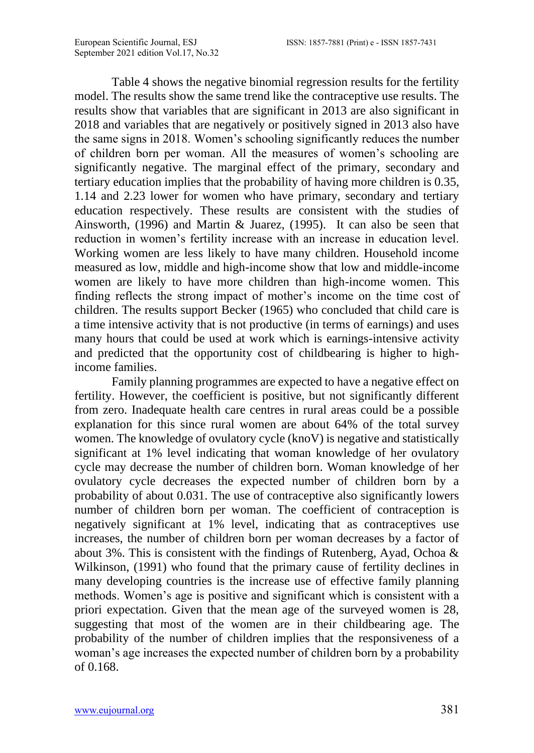Table 4 shows the negative binomial regression results for the fertility model. The results show the same trend like the contraceptive use results. The results show that variables that are significant in 2013 are also significant in 2018 and variables that are negatively or positively signed in 2013 also have the same signs in 2018. Women's schooling significantly reduces the number of children born per woman. All the measures of women's schooling are significantly negative. The marginal effect of the primary, secondary and tertiary education implies that the probability of having more children is 0.35, 1.14 and 2.23 lower for women who have primary, secondary and tertiary education respectively. These results are consistent with the studies of Ainsworth, (1996) and Martin & Juarez, (1995). It can also be seen that reduction in women's fertility increase with an increase in education level. Working women are less likely to have many children. Household income measured as low, middle and high-income show that low and middle-income women are likely to have more children than high-income women. This finding reflects the strong impact of mother's income on the time cost of children. The results support Becker (1965) who concluded that child care is a time intensive activity that is not productive (in terms of earnings) and uses many hours that could be used at work which is earnings-intensive activity and predicted that the opportunity cost of childbearing is higher to highincome families.

Family planning programmes are expected to have a negative effect on fertility. However, the coefficient is positive, but not significantly different from zero. Inadequate health care centres in rural areas could be a possible explanation for this since rural women are about 64% of the total survey women. The knowledge of ovulatory cycle (knoV) is negative and statistically significant at 1% level indicating that woman knowledge of her ovulatory cycle may decrease the number of children born. Woman knowledge of her ovulatory cycle decreases the expected number of children born by a probability of about 0.031. The use of contraceptive also significantly lowers number of children born per woman. The coefficient of contraception is negatively significant at 1% level, indicating that as contraceptives use increases, the number of children born per woman decreases by a factor of about 3%. This is consistent with the findings of Rutenberg, Ayad, Ochoa  $\&$ Wilkinson, (1991) who found that the primary cause of fertility declines in many developing countries is the increase use of effective family planning methods. Women's age is positive and significant which is consistent with a priori expectation. Given that the mean age of the surveyed women is 28, suggesting that most of the women are in their childbearing age. The probability of the number of children implies that the responsiveness of a woman's age increases the expected number of children born by a probability of 0.168.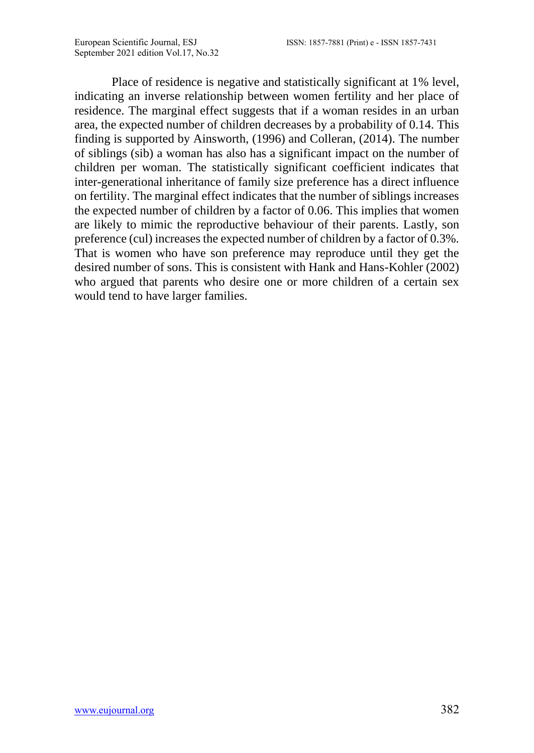Place of residence is negative and statistically significant at 1% level, indicating an inverse relationship between women fertility and her place of residence. The marginal effect suggests that if a woman resides in an urban area, the expected number of children decreases by a probability of 0.14. This finding is supported by Ainsworth, (1996) and Colleran, (2014). The number of siblings (sib) a woman has also has a significant impact on the number of children per woman. The statistically significant coefficient indicates that inter-generational inheritance of family size preference has a direct influence on fertility. The marginal effect indicates that the number of siblings increases the expected number of children by a factor of 0.06. This implies that women are likely to mimic the reproductive behaviour of their parents. Lastly, son preference (cul) increases the expected number of children by a factor of 0.3%. That is women who have son preference may reproduce until they get the desired number of sons. This is consistent with Hank and Hans-Kohler (2002) who argued that parents who desire one or more children of a certain sex would tend to have larger families.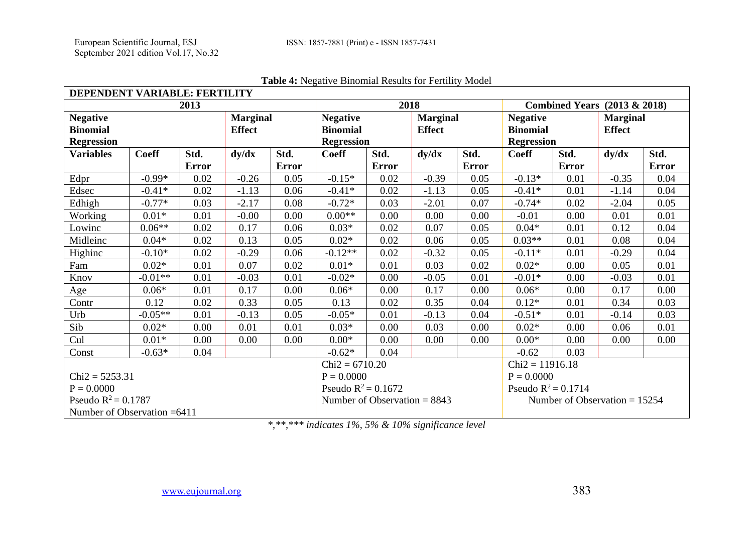| DEPENDENT VARIABLE: FERTILITY      |                                |       |               |              |                                         |              |                 |              |                   |       |                 |              |
|------------------------------------|--------------------------------|-------|---------------|--------------|-----------------------------------------|--------------|-----------------|--------------|-------------------|-------|-----------------|--------------|
|                                    | 2018                           |       |               |              | <b>Combined Years (2013 &amp; 2018)</b> |              |                 |              |                   |       |                 |              |
| <b>Marginal</b><br><b>Negative</b> |                                |       |               |              | <b>Negative</b>                         |              | <b>Marginal</b> |              | <b>Negative</b>   |       | <b>Marginal</b> |              |
| <b>Binomial</b>                    |                                |       | <b>Effect</b> |              | <b>Binomial</b>                         |              | <b>Effect</b>   |              | <b>Binomial</b>   |       | <b>Effect</b>   |              |
| <b>Regression</b>                  |                                |       |               |              | <b>Regression</b>                       |              |                 |              | <b>Regression</b> |       |                 |              |
| <b>Variables</b>                   | <b>Coeff</b>                   | Std.  | dy/dx         | Std.         | <b>Coeff</b>                            | Std.         | dy/dx           | Std.         | <b>Coeff</b>      | Std.  | dy/dx           | Std.         |
|                                    |                                | Error |               | <b>Error</b> |                                         | <b>Error</b> |                 | <b>Error</b> |                   | Error |                 | <b>Error</b> |
| Edpr                               | $-0.99*$                       | 0.02  | $-0.26$       | 0.05         | $-0.15*$                                | 0.02         | $-0.39$         | 0.05         | $-0.13*$          | 0.01  | $-0.35$         | 0.04         |
| Edsec                              | $-0.41*$                       | 0.02  | $-1.13$       | 0.06         | $-0.41*$                                | 0.02         | $-1.13$         | 0.05         | $-0.41*$          | 0.01  | $-1.14$         | 0.04         |
| Edhigh                             | $-0.77*$                       | 0.03  | $-2.17$       | 0.08         | $-0.72*$                                | 0.03         | $-2.01$         | 0.07         | $-0.74*$          | 0.02  | $-2.04$         | 0.05         |
| Working                            | $0.01*$                        | 0.01  | $-0.00$       | 0.00         | $0.00**$                                | 0.00         | 0.00            | 0.00         | $-0.01$           | 0.00  | 0.01            | 0.01         |
| Lowinc                             | $0.06**$                       | 0.02  | 0.17          | 0.06         | $0.03*$                                 | 0.02         | 0.07            | 0.05         | $0.04*$           | 0.01  | 0.12            | 0.04         |
| Midleinc                           | $0.04*$                        | 0.02  | 0.13          | 0.05         | $0.02*$                                 | 0.02         | 0.06            | 0.05         | $0.03**$          | 0.01  | 0.08            | 0.04         |
| Highinc                            | $-0.10*$                       | 0.02  | $-0.29$       | 0.06         | $-0.12**$                               | 0.02         | $-0.32$         | 0.05         | $-0.11*$          | 0.01  | $-0.29$         | 0.04         |
| Fam                                | $0.02*$                        | 0.01  | 0.07          | 0.02         | $0.01*$                                 | 0.01         | 0.03            | 0.02         | $0.02*$           | 0.00  | 0.05            | 0.01         |
| Knov                               | $-0.01**$                      | 0.01  | $-0.03$       | 0.01         | $-0.02*$                                | 0.00         | $-0.05$         | 0.01         | $-0.01*$          | 0.00  | $-0.03$         | 0.01         |
| Age                                | $0.06*$                        | 0.01  | 0.17          | 0.00         | $0.06*$                                 | 0.00         | 0.17            | 0.00         | $0.06*$           | 0.00  | 0.17            | 0.00         |
| Contr                              | 0.12                           | 0.02  | 0.33          | 0.05         | 0.13                                    | 0.02         | 0.35            | 0.04         | $0.12*$           | 0.01  | 0.34            | 0.03         |
| Urb                                | $-0.05**$                      | 0.01  | $-0.13$       | 0.05         | $-0.05*$                                | 0.01         | $-0.13$         | 0.04         | $-0.51*$          | 0.01  | $-0.14$         | 0.03         |
| Sib                                | $0.02*$                        | 0.00  | 0.01          | 0.01         | $0.03*$                                 | 0.00         | 0.03            | 0.00         | $0.02*$           | 0.00  | 0.06            | 0.01         |
| Cul                                | $0.01*$                        | 0.00  | 0.00          | 0.00         | $0.00*$                                 | 0.00         | 0.00            | 0.00         | $0.00*$           | 0.00  | 0.00            | 0.00         |
| Const                              | $-0.63*$                       | 0.04  |               |              | $-0.62*$                                | 0.04         |                 |              | $-0.62$           | 0.03  |                 |              |
|                                    | $Chi2 = 6710.20$               |       |               |              | $Chi2 = 11916.18$                       |              |                 |              |                   |       |                 |              |
| $Chi2 = 5253.31$                   | $P = 0.0000$                   |       |               |              | $P = 0.0000$                            |              |                 |              |                   |       |                 |              |
| $P = 0.0000$                       | Pseudo $R^2 = 0.1672$          |       |               |              | Pseudo $R^2 = 0.1714$                   |              |                 |              |                   |       |                 |              |
| Pseudo $R^2 = 0.1787$              | Number of Observation $= 8843$ |       |               |              | Number of Observation $= 15254$         |              |                 |              |                   |       |                 |              |
| Number of Observation $=6411$      |                                |       |               |              |                                         |              |                 |              |                   |       |                 |              |

#### **Table 4:** Negative Binomial Results for Fertility Model

*\*,\*\*,\*\*\* indicates 1%, 5% & 10% significance level*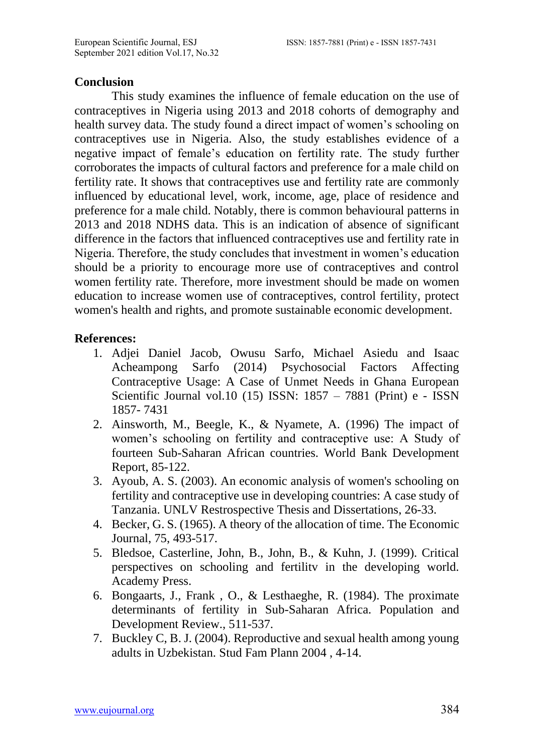#### **Conclusion**

This study examines the influence of female education on the use of contraceptives in Nigeria using 2013 and 2018 cohorts of demography and health survey data. The study found a direct impact of women's schooling on contraceptives use in Nigeria. Also, the study establishes evidence of a negative impact of female's education on fertility rate. The study further corroborates the impacts of cultural factors and preference for a male child on fertility rate. It shows that contraceptives use and fertility rate are commonly influenced by educational level, work, income, age, place of residence and preference for a male child. Notably, there is common behavioural patterns in 2013 and 2018 NDHS data. This is an indication of absence of significant difference in the factors that influenced contraceptives use and fertility rate in Nigeria. Therefore, the study concludes that investment in women's education should be a priority to encourage more use of contraceptives and control women fertility rate. Therefore, more investment should be made on women education to increase women use of contraceptives, control fertility, protect women's health and rights, and promote sustainable economic development.

#### **References:**

- 1. Adjei Daniel Jacob, Owusu Sarfo, Michael Asiedu and Isaac Acheampong Sarfo (2014) Psychosocial Factors Affecting Contraceptive Usage: A Case of Unmet Needs in Ghana European Scientific Journal vol.10 (15) ISSN: 1857 – 7881 (Print) e - ISSN 1857- 7431
- 2. Ainsworth, M., Beegle, K., & Nyamete, A. (1996) The impact of women's schooling on fertility and contraceptive use: A Study of fourteen Sub-Saharan African countries. World Bank Development Report, 85-122.
- 3. Ayoub, A. S. (2003). An economic analysis of women's schooling on fertility and contraceptive use in developing countries: A case study of Tanzania. UNLV Restrospective Thesis and Dissertations, 26-33.
- 4. Becker, G. S. (1965). A theory of the allocation of time. The Economic Journal, 75, 493-517.
- 5. Bledsoe, Casterline, John, B., John, B., & Kuhn, J. (1999). Critical perspectives on schooling and fertilitv in the developing world. Academy Press.
- 6. Bongaarts, J., Frank , O., & Lesthaeghe, R. (1984). The proximate determinants of fertility in Sub-Saharan Africa. Population and Development Review., 511-537.
- 7. Buckley C, B. J. (2004). Reproductive and sexual health among young adults in Uzbekistan. Stud Fam Plann 2004 , 4-14.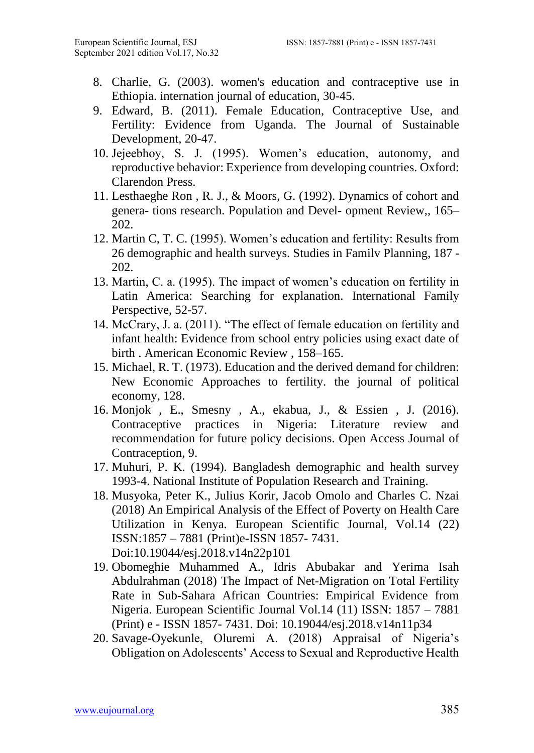- 8. Charlie, G. (2003). women's education and contraceptive use in Ethiopia. internation journal of education, 30-45.
- 9. Edward, B. (2011). Female Education, Contraceptive Use, and Fertility: Evidence from Uganda. The Journal of Sustainable Development, 20-47.
- 10. Jejeebhoy, S. J. (1995). Women's education, autonomy, and reproductive behavior: Experience from developing countries. Oxford: Clarendon Press.
- 11. Lesthaeghe Ron , R. J., & Moors, G. (1992). Dynamics of cohort and genera- tions research. Population and Devel- opment Review,, 165– 202.
- 12. Martin C, T. C. (1995). Women's education and fertility: Results from 26 demographic and health surveys. Studies in Familv Planning, 187 - 202.
- 13. Martin, C. a. (1995). The impact of women's education on fertility in Latin America: Searching for explanation. International Family Perspective, 52-57.
- 14. McCrary, J. a. (2011). "The effect of female education on fertility and infant health: Evidence from school entry policies using exact date of birth . American Economic Review , 158–165.
- 15. Michael, R. T. (1973). Education and the derived demand for children: New Economic Approaches to fertility. the journal of political economy, 128.
- 16. Monjok , E., Smesny , A., ekabua, J., & Essien , J. (2016). Contraceptive practices in Nigeria: Literature review and recommendation for future policy decisions. Open Access Journal of Contraception, 9.
- 17. Muhuri, P. K. (1994). Bangladesh demographic and health survey 1993-4. National Institute of Population Research and Training.
- 18. Musyoka, Peter K., Julius Korir, Jacob Omolo and Charles C. Nzai (2018) An Empirical Analysis of the Effect of Poverty on Health Care Utilization in Kenya. European Scientific Journal, Vol.14 (22) ISSN:1857 – 7881 (Print)e-ISSN 1857- 7431. Doi:10.19044/esj.2018.v14n22p101
- 19. Obomeghie Muhammed A., Idris Abubakar and Yerima Isah Abdulrahman (2018) The Impact of Net-Migration on Total Fertility Rate in Sub-Sahara African Countries: Empirical Evidence from Nigeria. European Scientific Journal Vol.14 (11) ISSN: 1857 – 7881 (Print) e - ISSN 1857- 7431. Doi: 10.19044/esj.2018.v14n11p34
- 20. Savage-Oyekunle, Oluremi A. (2018) Appraisal of Nigeria's Obligation on Adolescents' Access to Sexual and Reproductive Health